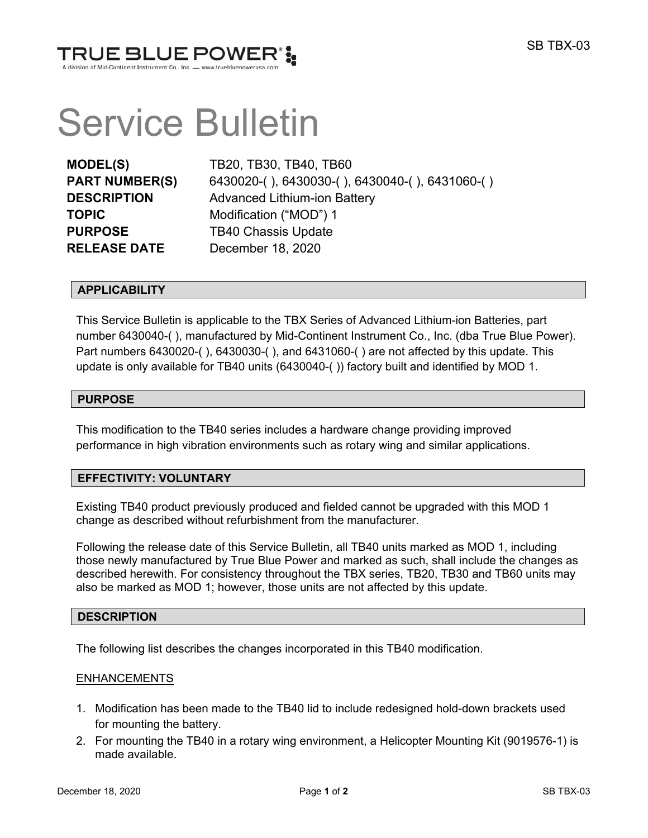

# Service Bulletin

| <b>MODEL(S)</b>       |
|-----------------------|
| <b>PART NUMBER(S)</b> |
| <b>DESCRIPTION</b>    |
| <b>TOPIC</b>          |
| <b>PURPOSE</b>        |
| <b>RELEASE DATE</b>   |

**MODEL(S)** TB20, TB30, TB40, TB60 **PART NUMBER(S)** 6430020-( ), 6430030-( ), 6430040-( ), 6431060-( ) **Advanced Lithium-ion Battery Modification ("MOD") 1 TB40 Chassis Update December 18, 2020** 

## **APPLICABILITY**

This Service Bulletin is applicable to the TBX Series of Advanced Lithium-ion Batteries, part number 6430040-( ), manufactured by Mid-Continent Instrument Co., Inc. (dba True Blue Power). Part numbers 6430020-( ), 6430030-( ), and 6431060-( ) are not affected by this update. This update is only available for TB40 units (6430040-( )) factory built and identified by MOD 1.

## **PURPOSE**

This modification to the TB40 series includes a hardware change providing improved performance in high vibration environments such as rotary wing and similar applications.

## **EFFECTIVITY: VOLUNTARY**

Existing TB40 product previously produced and fielded cannot be upgraded with this MOD 1 change as described without refurbishment from the manufacturer.

Following the release date of this Service Bulletin, all TB40 units marked as MOD 1, including those newly manufactured by True Blue Power and marked as such, shall include the changes as described herewith. For consistency throughout the TBX series, TB20, TB30 and TB60 units may also be marked as MOD 1; however, those units are not affected by this update.

# **DESCRIPTION**

The following list describes the changes incorporated in this TB40 modification.

## ENHANCEMENTS

- 1. Modification has been made to the TB40 lid to include redesigned hold-down brackets used for mounting the battery.
- 2. For mounting the TB40 in a rotary wing environment, a Helicopter Mounting Kit (9019576-1) is made available.